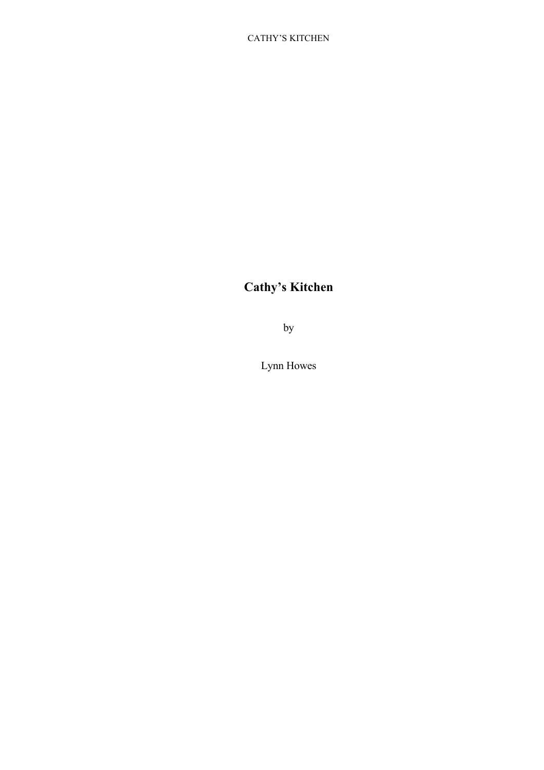# **Cathy's Kitchen**

by

Lynn Howes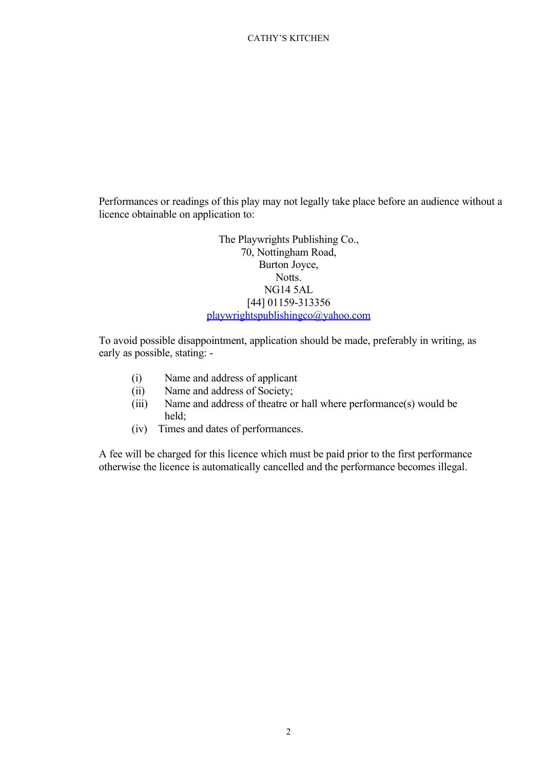Performances or readings of this play may not legally take place before an audience without a licence obtainable on application to:

> The Playwrights Publishing Co., 70, Nottingham Road, Burton Joyce, Notts. NG14 5AL [44] 01159-313356 [playwrightspublishingco@yahoo.com](mailto:playwrightspublishingco@yahoo.com)

To avoid possible disappointment, application should be made, preferably in writing, as early as possible, stating: -

- (i) Name and address of applicant
- (ii) Name and address of Society;
- (iii) Name and address of theatre or hall where performance(s) would be held;
- (iv) Times and dates of performances.

A fee will be charged for this licence which must be paid prior to the first performance otherwise the licence is automatically cancelled and the performance becomes illegal.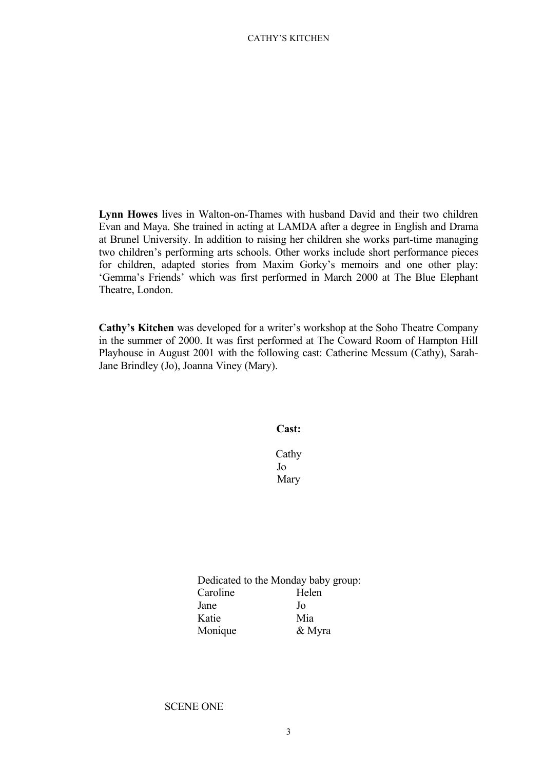**Lynn Howes** lives in Walton-on-Thames with husband David and their two children Evan and Maya. She trained in acting at LAMDA after a degree in English and Drama at Brunel University. In addition to raising her children she works part-time managing two children's performing arts schools. Other works include short performance pieces for children, adapted stories from Maxim Gorky's memoirs and one other play: 'Gemma's Friends' which was first performed in March 2000 at The Blue Elephant Theatre, London.

**Cathy's Kitchen** was developed for a writer's workshop at the Soho Theatre Company in the summer of 2000. It was first performed at The Coward Room of Hampton Hill Playhouse in August 2001 with the following cast: Catherine Messum (Cathy), Sarah-Jane Brindley (Jo), Joanna Viney (Mary).

**Cast:**

Cathy Jo Mary

Dedicated to the Monday baby group: Caroline Helen Jane Jo Katie Mia Monique & Myra

# SCENE ONE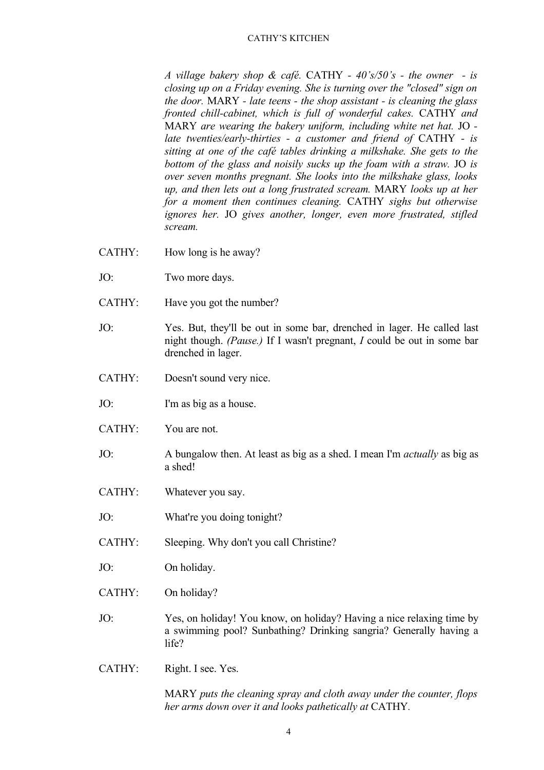*A village bakery shop & café.* CATHY *- 40's/50's - the owner - is closing up on a Friday evening. She is turning over the "closed" sign on the door.* MARY *- late teens - the shop assistant - is cleaning the glass fronted chill-cabinet, which is full of wonderful cakes.* CATHY *and* MARY *are wearing the bakery uniform, including white net hat.* JO *late twenties/early-thirties - a customer and friend of* CATHY *- is sitting at one of the café tables drinking a milkshake. She gets to the bottom of the glass and noisily sucks up the foam with a straw.* JO *is over seven months pregnant. She looks into the milkshake glass, looks up, and then lets out a long frustrated scream.* MARY *looks up at her for a moment then continues cleaning.* CATHY *sighs but otherwise ignores her.* JO *gives another, longer, even more frustrated, stifled scream.*

- CATHY: How long is he away?
- JO: Two more days.
- CATHY: Have you got the number?
- JO: Yes. But, they'll be out in some bar, drenched in lager. He called last night though. *(Pause.)* If I wasn't pregnant, *I* could be out in some bar drenched in lager.
- CATHY: Doesn't sound very nice.
- JO: I'm as big as a house.
- CATHY: You are not.
- JO: A bungalow then. At least as big as a shed. I mean I'm *actually* as big as a shed!
- CATHY: Whatever you say.
- JO: What're you doing tonight?
- CATHY: Sleeping. Why don't you call Christine?
- JO: On holiday.
- CATHY: On holiday?
- JO: Yes, on holiday! You know, on holiday? Having a nice relaxing time by a swimming pool? Sunbathing? Drinking sangria? Generally having a life?
- CATHY: Right. I see. Yes.

MARY *puts the cleaning spray and cloth away under the counter, flops her arms down over it and looks pathetically at* CATHY*.*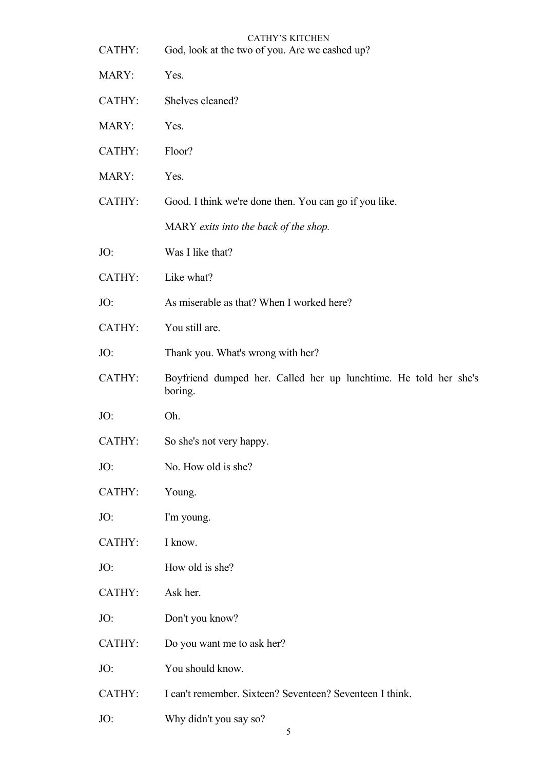| CATHY: | <b>CATHY'S KITCHEN</b><br>God, look at the two of you. Are we cashed up?    |
|--------|-----------------------------------------------------------------------------|
| MARY:  | Yes.                                                                        |
| CATHY: | Shelves cleaned?                                                            |
| MARY:  | Yes.                                                                        |
| CATHY: | Floor?                                                                      |
| MARY:  | Yes.                                                                        |
| CATHY: | Good. I think we're done then. You can go if you like.                      |
|        | MARY exits into the back of the shop.                                       |
| JO:    | Was I like that?                                                            |
| CATHY: | Like what?                                                                  |
| JO:    | As miserable as that? When I worked here?                                   |
| CATHY: | You still are.                                                              |
| JO:    | Thank you. What's wrong with her?                                           |
| CATHY: | Boyfriend dumped her. Called her up lunchtime. He told her she's<br>boring. |
|        |                                                                             |
| JO:    | Oh.                                                                         |
| CATHY: | So she's not very happy.                                                    |
| JO:    | No. How old is she?                                                         |
| CATHY: | Young.                                                                      |
| JO:    | I'm young.                                                                  |
| CATHY: | I know.                                                                     |
| JO:    | How old is she?                                                             |
| CATHY: | Ask her.                                                                    |
| JO:    | Don't you know?                                                             |
| CATHY: | Do you want me to ask her?                                                  |
| JO:    | You should know.                                                            |
| CATHY: | I can't remember. Sixteen? Seventeen? Seventeen I think.                    |
| JO:    | Why didn't you say so?<br>5                                                 |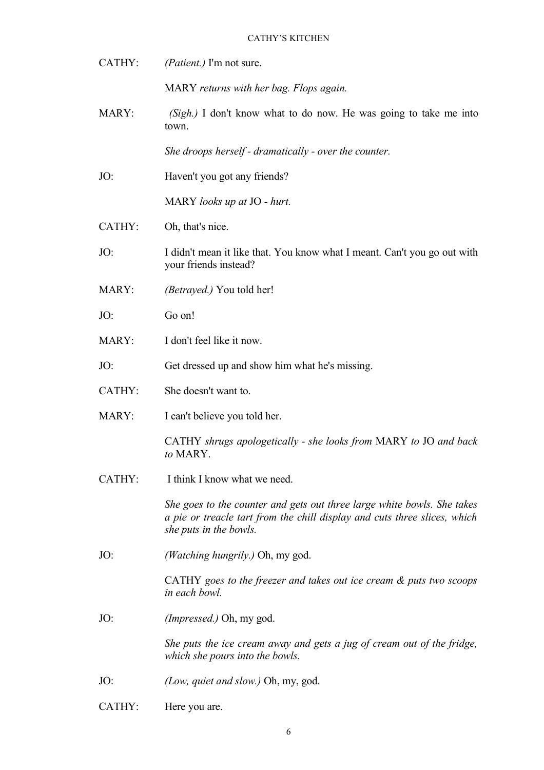| CATHY:       | (Patient.) I'm not sure.                                                                                                                                                       |
|--------------|--------------------------------------------------------------------------------------------------------------------------------------------------------------------------------|
|              | MARY returns with her bag. Flops again.                                                                                                                                        |
| <b>MARY:</b> | $(Sigh.)$ I don't know what to do now. He was going to take me into<br>town.                                                                                                   |
|              | She droops herself - dramatically - over the counter.                                                                                                                          |
| JO:          | Haven't you got any friends?                                                                                                                                                   |
|              | MARY looks up at JO - hurt.                                                                                                                                                    |
| CATHY:       | Oh, that's nice.                                                                                                                                                               |
| JO:          | I didn't mean it like that. You know what I meant. Can't you go out with<br>your friends instead?                                                                              |
| MARY:        | <i>(Betrayed.)</i> You told her!                                                                                                                                               |
| JO:          | Go on!                                                                                                                                                                         |
| MARY:        | I don't feel like it now.                                                                                                                                                      |
| JO:          | Get dressed up and show him what he's missing.                                                                                                                                 |
| CATHY:       | She doesn't want to.                                                                                                                                                           |
| <b>MARY:</b> | I can't believe you told her.                                                                                                                                                  |
|              | CATHY shrugs apologetically - she looks from MARY to JO and back<br>to MARY.                                                                                                   |
| CATHY:       | I think I know what we need.                                                                                                                                                   |
|              | She goes to the counter and gets out three large white bowls. She takes<br>a pie or treacle tart from the chill display and cuts three slices, which<br>she puts in the bowls. |
| JO:          | <i>(Watching hungrily.)</i> Oh, my god.                                                                                                                                        |
|              | CATHY goes to the freezer and takes out ice cream $\&$ puts two scoops<br>in each bowl.                                                                                        |
| JO:          | (Impressed.) Oh, my god.                                                                                                                                                       |
|              | She puts the ice cream away and gets a jug of cream out of the fridge,<br>which she pours into the bowls.                                                                      |
| JO:          | (Low, quiet and slow.) Oh, my, god.                                                                                                                                            |
| CATHY:       | Here you are.                                                                                                                                                                  |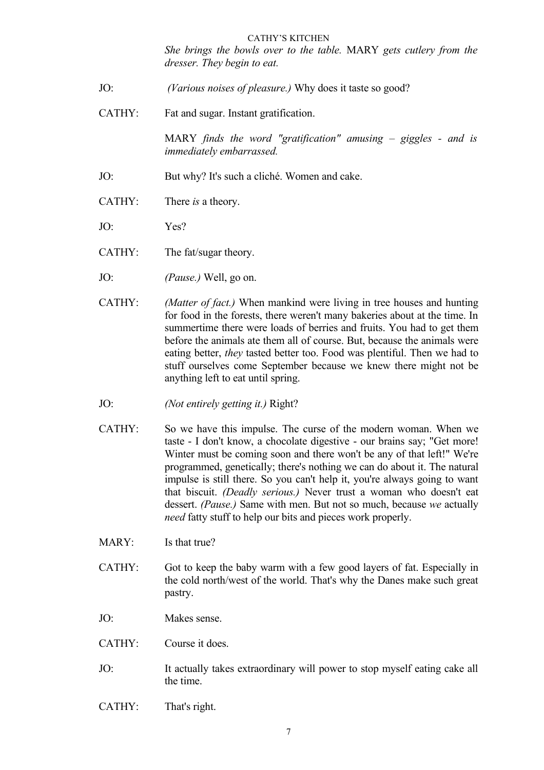*She brings the bowls over to the table.* MARY *gets cutlery from the dresser. They begin to eat.*

- JO: *(Various noises of pleasure.)* Why does it taste so good?
- CATHY: Fat and sugar. Instant gratification.

MARY *finds the word "gratification" amusing – giggles - and is immediately embarrassed.*

- JO: But why? It's such a cliché. Women and cake.
- CATHY: There *is* a theory.
- JO: Yes?
- CATHY: The fat/sugar theory.
- JO: *(Pause.)* Well, go on.
- CATHY: *(Matter of fact.)* When mankind were living in tree houses and hunting for food in the forests, there weren't many bakeries about at the time. In summertime there were loads of berries and fruits. You had to get them before the animals ate them all of course. But, because the animals were eating better, *they* tasted better too. Food was plentiful. Then we had to stuff ourselves come September because we knew there might not be anything left to eat until spring.
- JO: *(Not entirely getting it.)* Right?
- CATHY: So we have this impulse. The curse of the modern woman. When we taste - I don't know, a chocolate digestive - our brains say; "Get more! Winter must be coming soon and there won't be any of that left!" We're programmed, genetically; there's nothing we can do about it. The natural impulse is still there. So you can't help it, you're always going to want that biscuit. *(Deadly serious.)* Never trust a woman who doesn't eat dessert. *(Pause.)* Same with men. But not so much, because *we* actually *need* fatty stuff to help our bits and pieces work properly.
- MARY: Is that true?
- CATHY: Got to keep the baby warm with a few good layers of fat. Especially in the cold north/west of the world. That's why the Danes make such great pastry.
- JO: Makes sense.
- CATHY: Course it does.
- JO: It actually takes extraordinary will power to stop myself eating cake all the time.
- CATHY: That's right.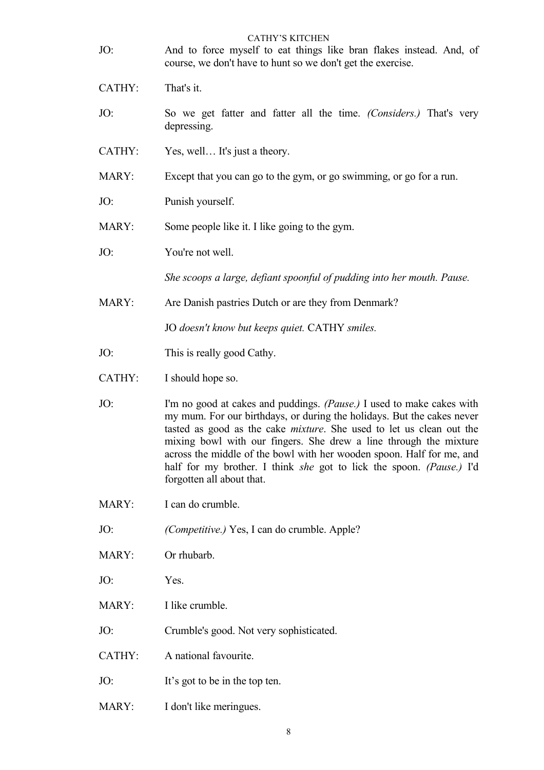| JO:    | <b>CATHY'S KITCHEN</b><br>And to force myself to eat things like bran flakes instead. And, of<br>course, we don't have to hunt so we don't get the exercise.                                                                                                                                                                                                                                                                                                                       |
|--------|------------------------------------------------------------------------------------------------------------------------------------------------------------------------------------------------------------------------------------------------------------------------------------------------------------------------------------------------------------------------------------------------------------------------------------------------------------------------------------|
| CATHY: | That's it.                                                                                                                                                                                                                                                                                                                                                                                                                                                                         |
| JO:    | So we get fatter and fatter all the time. (Considers.) That's very<br>depressing.                                                                                                                                                                                                                                                                                                                                                                                                  |
| CATHY: | Yes, well It's just a theory.                                                                                                                                                                                                                                                                                                                                                                                                                                                      |
| MARY:  | Except that you can go to the gym, or go swimming, or go for a run.                                                                                                                                                                                                                                                                                                                                                                                                                |
| JO:    | Punish yourself.                                                                                                                                                                                                                                                                                                                                                                                                                                                                   |
| MARY:  | Some people like it. I like going to the gym.                                                                                                                                                                                                                                                                                                                                                                                                                                      |
| JO:    | You're not well.                                                                                                                                                                                                                                                                                                                                                                                                                                                                   |
|        | She scoops a large, defiant spoonful of pudding into her mouth. Pause.                                                                                                                                                                                                                                                                                                                                                                                                             |
| MARY:  | Are Danish pastries Dutch or are they from Denmark?                                                                                                                                                                                                                                                                                                                                                                                                                                |
|        | JO doesn't know but keeps quiet. CATHY smiles.                                                                                                                                                                                                                                                                                                                                                                                                                                     |
| JO:    | This is really good Cathy.                                                                                                                                                                                                                                                                                                                                                                                                                                                         |
| CATHY: | I should hope so.                                                                                                                                                                                                                                                                                                                                                                                                                                                                  |
| JO:    | I'm no good at cakes and puddings. (Pause.) I used to make cakes with<br>my mum. For our birthdays, or during the holidays. But the cakes never<br>tasted as good as the cake <i>mixture</i> . She used to let us clean out the<br>mixing bowl with our fingers. She drew a line through the mixture<br>across the middle of the bowl with her wooden spoon. Half for me, and<br>half for my brother. I think she got to lick the spoon. (Pause.) I'd<br>forgotten all about that. |
| MARY:  | I can do crumble.                                                                                                                                                                                                                                                                                                                                                                                                                                                                  |
| JO:    | (Competitive.) Yes, I can do crumble. Apple?                                                                                                                                                                                                                                                                                                                                                                                                                                       |
| MARY:  | Or rhubarb.                                                                                                                                                                                                                                                                                                                                                                                                                                                                        |
| JO:    | Yes.                                                                                                                                                                                                                                                                                                                                                                                                                                                                               |
| MARY:  | I like crumble.                                                                                                                                                                                                                                                                                                                                                                                                                                                                    |
| JO:    | Crumble's good. Not very sophisticated.                                                                                                                                                                                                                                                                                                                                                                                                                                            |
| CATHY: | A national favourite.                                                                                                                                                                                                                                                                                                                                                                                                                                                              |
| JO:    | It's got to be in the top ten.                                                                                                                                                                                                                                                                                                                                                                                                                                                     |

MARY: I don't like meringues.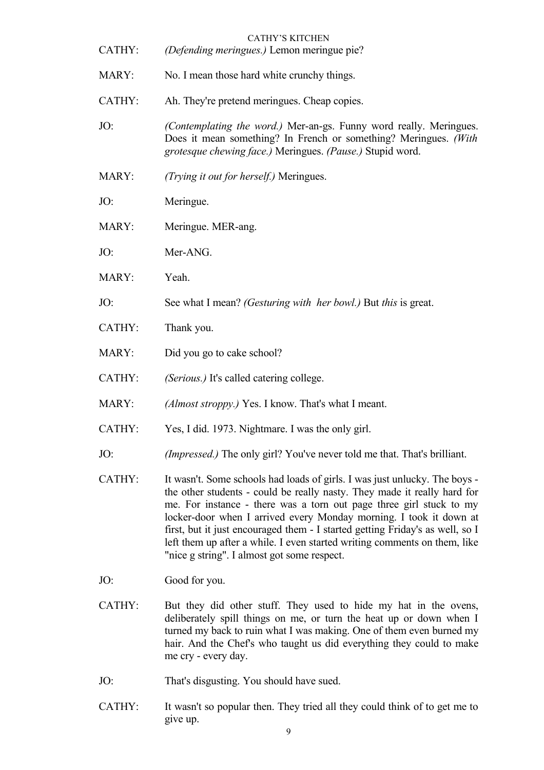| CATHY: | <b>CATHY'S KITCHEN</b><br>(Defending meringues.) Lemon meringue pie?                                                                                                                                                                                                                                                                                                                                                                                                                                             |
|--------|------------------------------------------------------------------------------------------------------------------------------------------------------------------------------------------------------------------------------------------------------------------------------------------------------------------------------------------------------------------------------------------------------------------------------------------------------------------------------------------------------------------|
| MARY:  | No. I mean those hard white crunchy things.                                                                                                                                                                                                                                                                                                                                                                                                                                                                      |
| CATHY: | Ah. They're pretend meringues. Cheap copies.                                                                                                                                                                                                                                                                                                                                                                                                                                                                     |
| JO:    | (Contemplating the word.) Mer-an-gs. Funny word really. Meringues.<br>Does it mean something? In French or something? Meringues. (With<br>grotesque chewing face.) Meringues. (Pause.) Stupid word.                                                                                                                                                                                                                                                                                                              |
| MARY:  | (Trying it out for herself.) Meringues.                                                                                                                                                                                                                                                                                                                                                                                                                                                                          |
| JO:    | Meringue.                                                                                                                                                                                                                                                                                                                                                                                                                                                                                                        |
| MARY:  | Meringue. MER-ang.                                                                                                                                                                                                                                                                                                                                                                                                                                                                                               |
| JO:    | Mer-ANG.                                                                                                                                                                                                                                                                                                                                                                                                                                                                                                         |
| MARY:  | Yeah.                                                                                                                                                                                                                                                                                                                                                                                                                                                                                                            |
| JO:    | See what I mean? <i>(Gesturing with her bowl.)</i> But <i>this</i> is great.                                                                                                                                                                                                                                                                                                                                                                                                                                     |
| CATHY: | Thank you.                                                                                                                                                                                                                                                                                                                                                                                                                                                                                                       |
| MARY:  | Did you go to cake school?                                                                                                                                                                                                                                                                                                                                                                                                                                                                                       |
| CATHY: | (Serious.) It's called catering college.                                                                                                                                                                                                                                                                                                                                                                                                                                                                         |
| MARY:  | (Almost stroppy.) Yes. I know. That's what I meant.                                                                                                                                                                                                                                                                                                                                                                                                                                                              |
| CATHY: | Yes, I did. 1973. Nightmare. I was the only girl.                                                                                                                                                                                                                                                                                                                                                                                                                                                                |
| JO:    | <i>(Impressed.)</i> The only girl? You've never told me that. That's brilliant.                                                                                                                                                                                                                                                                                                                                                                                                                                  |
| CATHY: | It wasn't. Some schools had loads of girls. I was just unlucky. The boys -<br>the other students - could be really nasty. They made it really hard for<br>me. For instance - there was a torn out page three girl stuck to my<br>locker-door when I arrived every Monday morning. I took it down at<br>first, but it just encouraged them - I started getting Friday's as well, so I<br>left them up after a while. I even started writing comments on them, like<br>"nice g string". I almost got some respect. |
| JO:    | Good for you.                                                                                                                                                                                                                                                                                                                                                                                                                                                                                                    |

- CATHY: But they did other stuff. They used to hide my hat in the ovens, deliberately spill things on me, or turn the heat up or down when I turned my back to ruin what I was making. One of them even burned my hair. And the Chef's who taught us did everything they could to make me cry - every day.
- JO: That's disgusting. You should have sued.
- CATHY: It wasn't so popular then. They tried all they could think of to get me to give up.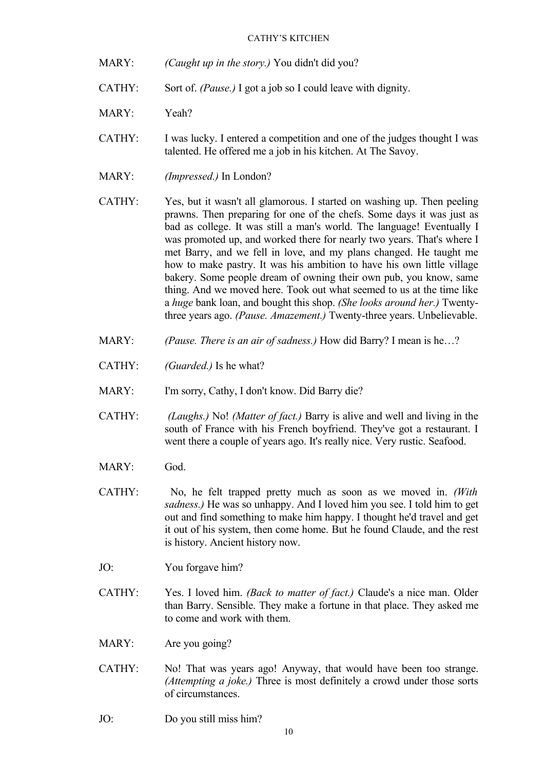- MARY: *(Caught up in the story.)* You didn't did you?
- CATHY: Sort of. *(Pause.)* I got a job so I could leave with dignity.
- MARY: Yeah?
- CATHY: I was lucky. I entered a competition and one of the judges thought I was talented. He offered me a job in his kitchen. At The Savoy.
- MARY: *(Impressed.)* In London?
- CATHY: Yes, but it wasn't all glamorous. I started on washing up. Then peeling prawns. Then preparing for one of the chefs. Some days it was just as bad as college. It was still a man's world. The language! Eventually I was promoted up, and worked there for nearly two years. That's where I met Barry, and we fell in love, and my plans changed. He taught me how to make pastry. It was his ambition to have his own little village bakery. Some people dream of owning their own pub, you know, same thing. And we moved here. Took out what seemed to us at the time like a *huge* bank loan, and bought this shop. *(She looks around her.)* Twentythree years ago. *(Pause. Amazement.)* Twenty-three years. Unbelievable.
- MARY: *(Pause. There is an air of sadness.)* How did Barry? I mean is he…?
- CATHY: *(Guarded.)* Is he what?
- MARY: I'm sorry, Cathy, I don't know. Did Barry die?
- CATHY: *(Laughs.)* No! *(Matter of fact.)* Barry is alive and well and living in the south of France with his French boyfriend. They've got a restaurant. I went there a couple of years ago. It's really nice. Very rustic. Seafood.
- MARY: God.
- CATHY: No, he felt trapped pretty much as soon as we moved in. *(With sadness.)* He was so unhappy. And I loved him you see. I told him to get out and find something to make him happy. I thought he'd travel and get it out of his system, then come home. But he found Claude, and the rest is history. Ancient history now.
- JO: You forgave him?
- CATHY: Yes. I loved him. *(Back to matter of fact.)* Claude's a nice man. Older than Barry. Sensible. They make a fortune in that place. They asked me to come and work with them.
- MARY: Are you going?
- CATHY: No! That was years ago! Anyway, that would have been too strange. *(Attempting a joke.)* Three is most definitely a crowd under those sorts of circumstances.
- JO: Do you still miss him?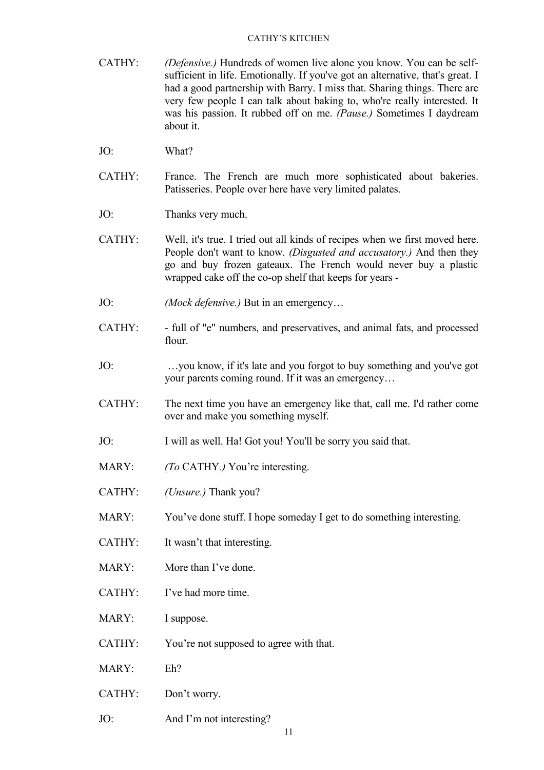- CATHY: *(Defensive.)* Hundreds of women live alone you know. You can be selfsufficient in life. Emotionally. If you've got an alternative, that's great. I had a good partnership with Barry. I miss that. Sharing things. There are very few people I can talk about baking to, who're really interested. It was his passion. It rubbed off on me. *(Pause.)* Sometimes I daydream about it.
- JO: What?
- CATHY: France. The French are much more sophisticated about bakeries. Patisseries. People over here have very limited palates.
- JO: Thanks very much.
- CATHY: Well, it's true. I tried out all kinds of recipes when we first moved here. People don't want to know. *(Disgusted and accusatory.)* And then they go and buy frozen gateaux. The French would never buy a plastic wrapped cake off the co-op shelf that keeps for years -
- JO: *(Mock defensive.)* But in an emergency…
- CATHY: full of "e" numbers, and preservatives, and animal fats, and processed flour.
- JO: …you know, if it's late and you forgot to buy something and you've got your parents coming round. If it was an emergency…
- CATHY: The next time you have an emergency like that, call me. I'd rather come over and make you something myself.
- JO: I will as well. Ha! Got you! You'll be sorry you said that.
- MARY: *(To* CATHY*.)* You're interesting.
- CATHY: *(Unsure.)* Thank you?
- MARY: You've done stuff. I hope someday I get to do something interesting.
- CATHY: It wasn't that interesting.
- MARY: More than I've done.
- CATHY: I've had more time.
- MARY: I suppose.
- CATHY: You're not supposed to agree with that.
- MARY: Eh?
- CATHY: Don't worry.
- JO: And I'm not interesting?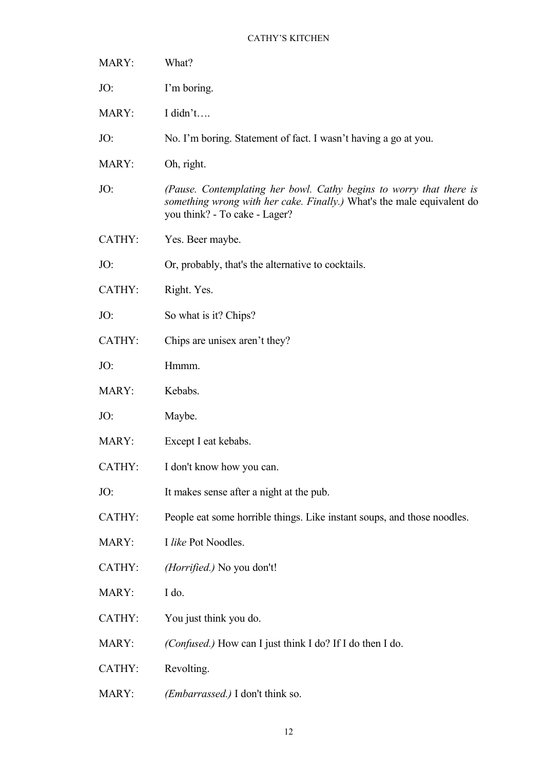| MARY:  | What?                                                                                                                                                                          |
|--------|--------------------------------------------------------------------------------------------------------------------------------------------------------------------------------|
| JO:    | I'm boring.                                                                                                                                                                    |
| MARY:  | I didn't                                                                                                                                                                       |
| JO:    | No. I'm boring. Statement of fact. I wasn't having a go at you.                                                                                                                |
| MARY:  | Oh, right.                                                                                                                                                                     |
| JO:    | (Pause. Contemplating her bowl. Cathy begins to worry that there is<br>something wrong with her cake. Finally.) What's the male equivalent do<br>you think? - To cake - Lager? |
| CATHY: | Yes. Beer maybe.                                                                                                                                                               |
| JO:    | Or, probably, that's the alternative to cocktails.                                                                                                                             |
| CATHY: | Right. Yes.                                                                                                                                                                    |
| JO:    | So what is it? Chips?                                                                                                                                                          |
| CATHY: | Chips are unisex aren't they?                                                                                                                                                  |
| JO:    | Hmmm.                                                                                                                                                                          |
| MARY:  | Kebabs.                                                                                                                                                                        |
| JO:    | Maybe.                                                                                                                                                                         |
| MARY:  | Except I eat kebabs.                                                                                                                                                           |
| CATHY: | I don't know how you can.                                                                                                                                                      |
| JO:    | It makes sense after a night at the pub.                                                                                                                                       |
| CATHY: | People eat some horrible things. Like instant soups, and those noodles.                                                                                                        |
| MARY:  | I like Pot Noodles.                                                                                                                                                            |
|        |                                                                                                                                                                                |
| CATHY: | ( <i>Horrified.</i> ) No you don't!                                                                                                                                            |
| MARY:  | I do.                                                                                                                                                                          |
| CATHY: | You just think you do.                                                                                                                                                         |
| MARY:  | (Confused.) How can I just think I do? If I do then I do.                                                                                                                      |
| CATHY: | Revolting.                                                                                                                                                                     |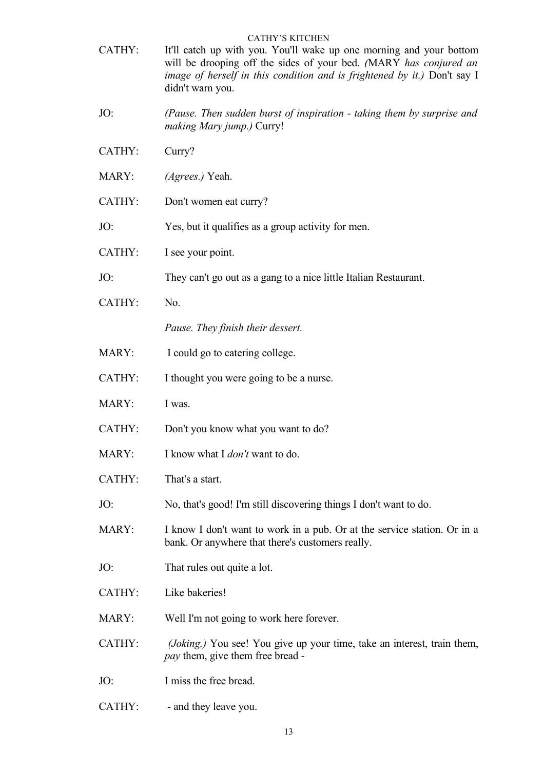- CATHY: It'll catch up with you. You'll wake up one morning and your bottom will be drooping off the sides of your bed. *(*MARY *has conjured an image of herself in this condition and is frightened by it.)* Don't say I didn't warn you.
- JO: *(Pause. Then sudden burst of inspiration taking them by surprise and making Mary jump.)* Curry!
- CATHY: Curry?
- MARY: *(Agrees.)* Yeah.
- CATHY: Don't women eat curry?
- JO: Yes, but it qualifies as a group activity for men.
- CATHY: I see your point.
- JO: They can't go out as a gang to a nice little Italian Restaurant.
- CATHY: No.

*Pause. They finish their dessert.*

- MARY: I could go to catering college.
- CATHY: I thought you were going to be a nurse.
- MARY: I was.
- CATHY: Don't you know what you want to do?
- MARY: I know what I *don't* want to do.
- CATHY: That's a start.
- JO: No, that's good! I'm still discovering things I don't want to do.
- MARY: I know I don't want to work in a pub. Or at the service station. Or in a bank. Or anywhere that there's customers really.
- JO: That rules out quite a lot.
- CATHY: Like bakeries!
- MARY: Well I'm not going to work here forever.
- CATHY: *(Joking.)* You see! You give up your time, take an interest, train them, *pay* them, give them free bread -
- JO: I miss the free bread.
- CATHY: and they leave you.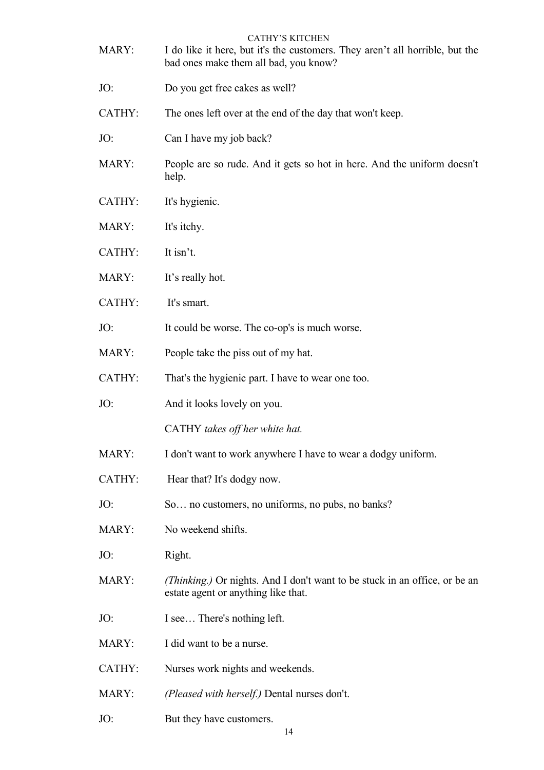| MARY:  | <b>CATHY'S KITCHEN</b><br>I do like it here, but it's the customers. They aren't all horrible, but the<br>bad ones make them all bad, you know? |
|--------|-------------------------------------------------------------------------------------------------------------------------------------------------|
| JO:    | Do you get free cakes as well?                                                                                                                  |
| CATHY: | The ones left over at the end of the day that won't keep.                                                                                       |
| JO:    | Can I have my job back?                                                                                                                         |
| MARY:  | People are so rude. And it gets so hot in here. And the uniform doesn't<br>help.                                                                |
| CATHY: | It's hygienic.                                                                                                                                  |
| MARY:  | It's itchy.                                                                                                                                     |
| CATHY: | It isn't.                                                                                                                                       |
| MARY:  | It's really hot.                                                                                                                                |
| CATHY: | It's smart.                                                                                                                                     |
| JO:    | It could be worse. The co-op's is much worse.                                                                                                   |
| MARY:  | People take the piss out of my hat.                                                                                                             |
| CATHY: | That's the hygienic part. I have to wear one too.                                                                                               |
| JO:    | And it looks lovely on you.                                                                                                                     |
|        | CATHY takes off her white hat.                                                                                                                  |
| MARY:  | I don't want to work anywhere I have to wear a dodgy uniform.                                                                                   |
| CATHY: | Hear that? It's dodgy now.                                                                                                                      |
| JO:    | So no customers, no uniforms, no pubs, no banks?                                                                                                |
| MARY:  | No weekend shifts.                                                                                                                              |
| JO:    | Right.                                                                                                                                          |
| MARY:  | (Thinking.) Or nights. And I don't want to be stuck in an office, or be an<br>estate agent or anything like that.                               |
| JO:    | I see There's nothing left.                                                                                                                     |
| MARY:  | I did want to be a nurse.                                                                                                                       |
| CATHY: | Nurses work nights and weekends.                                                                                                                |
| MARY:  | (Pleased with herself.) Dental nurses don't.                                                                                                    |
| JO:    | But they have customers.                                                                                                                        |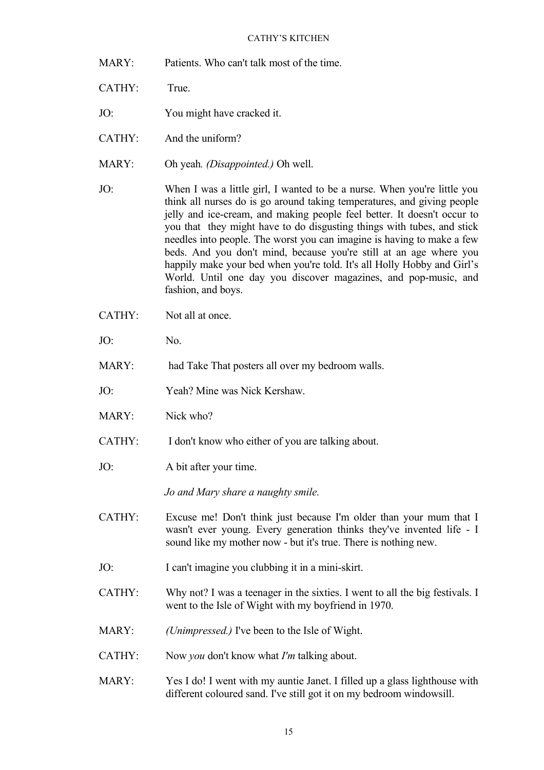- MARY: Patients. Who can't talk most of the time.
- CATHY: True.
- JO: You might have cracked it.
- CATHY: And the uniform?
- MARY: Oh yeah*. (Disappointed.)* Oh well.
- JO: When I was a little girl, I wanted to be a nurse. When you're little you think all nurses do is go around taking temperatures, and giving people jelly and ice-cream, and making people feel better. It doesn't occur to you that they might have to do disgusting things with tubes, and stick needles into people. The worst you can imagine is having to make a few beds. And you don't mind, because you're still at an age where you happily make your bed when you're told. It's all Holly Hobby and Girl's World. Until one day you discover magazines, and pop-music, and fashion, and boys.
- CATHY: Not all at once.
- JO: No.
- MARY: had Take That posters all over my bedroom walls.
- JO: Yeah? Mine was Nick Kershaw.
- MARY: Nick who?
- CATHY: I don't know who either of you are talking about.
- JO: A bit after your time.

*Jo and Mary share a naughty smile.*

- CATHY: Excuse me! Don't think just because I'm older than your mum that I wasn't ever young. Every generation thinks they've invented life - I sound like my mother now - but it's true. There is nothing new.
- JO: I can't imagine you clubbing it in a mini-skirt.
- CATHY: Why not? I was a teenager in the sixties. I went to all the big festivals. I went to the Isle of Wight with my boyfriend in 1970.
- MARY: *(Unimpressed.)* I've been to the Isle of Wight.
- CATHY: Now *you* don't know what *I'm* talking about.
- MARY: Yes I do! I went with my auntie Janet. I filled up a glass lighthouse with different coloured sand. I've still got it on my bedroom windowsill.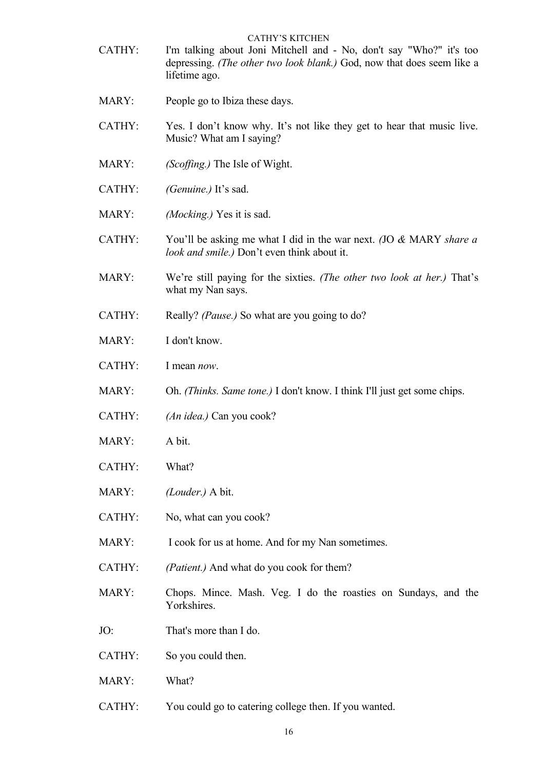- CATHY'S KITCHEN CATHY: I'm talking about Joni Mitchell and - No, don't say "Who?" it's too depressing. *(The other two look blank.)* God, now that does seem like a lifetime ago.
- MARY: People go to Ibiza these days.
- CATHY: Yes. I don't know why. It's not like they get to hear that music live. Music? What am I saying?
- MARY: *(Scoffing.)* The Isle of Wight.
- CATHY: *(Genuine.)* It's sad.
- MARY: *(Mocking.)* Yes it is sad.
- CATHY: You'll be asking me what I did in the war next. *(*JO *&* MARY *share a look and smile.)* Don't even think about it.
- MARY: We're still paying for the sixties. *(The other two look at her.)* That's what my Nan says.
- CATHY: Really? *(Pause.)* So what are you going to do?
- MARY: I don't know.
- CATHY: I mean *now*.
- MARY: Oh. *(Thinks. Same tone.)* I don't know. I think I'll just get some chips.
- CATHY: *(An idea.)* Can you cook?
- MARY: A bit.
- CATHY: What?
- MARY: *(Louder.)* A bit.
- CATHY: No, what can you cook?
- MARY: I cook for us at home. And for my Nan sometimes.
- CATHY: *(Patient.)* And what do you cook for them?
- MARY: Chops. Mince. Mash. Veg. I do the roasties on Sundays, and the **Yorkshires**
- JO: That's more than I do.
- CATHY: So you could then.
- MARY: What?
- CATHY: You could go to catering college then. If you wanted.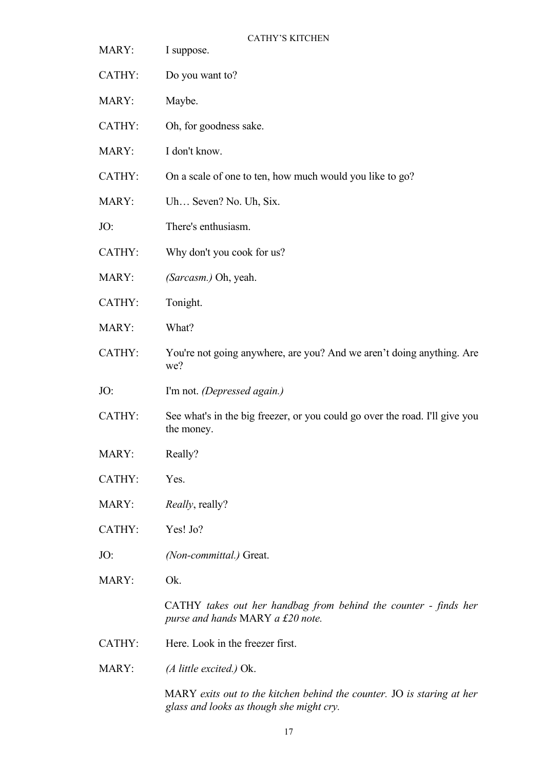- 
- CATHY'S KITCHEN
- MARY: I suppose.
- CATHY: Do you want to?
- MARY: Maybe.
- CATHY: Oh, for goodness sake.
- MARY: I don't know.
- CATHY: On a scale of one to ten, how much would you like to go?
- MARY: Uh… Seven? No. Uh, Six.
- JO: There's enthusiasm.
- CATHY: Why don't you cook for us?
- MARY: *(Sarcasm.)* Oh, yeah.
- CATHY: Tonight.
- MARY: What?
- CATHY: You're not going anywhere, are you? And we aren't doing anything. Are we?
- JO: I'm not. *(Depressed again.)*
- CATHY: See what's in the big freezer, or you could go over the road. I'll give you the money.
- MARY: Really?
- CATHY: Yes.
- MARY: *Really*, really?
- CATHY: Yes! Jo?
- JO: *(Non-committal.)* Great.
- MARY: Ok.

CATHY *takes out her handbag from behind the counter - finds her purse and hands* MARY *a £20 note.*

- CATHY: Here. Look in the freezer first.
- MARY: *(A little excited.)* Ok.

MARY *exits out to the kitchen behind the counter.* JO *is staring at her glass and looks as though she might cry.*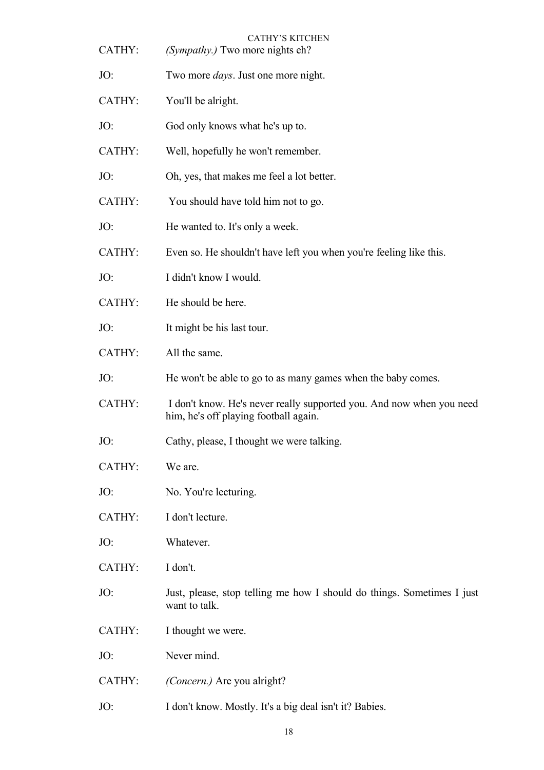| CATHY: | <b>CATHY'S KITCHEN</b><br>(Sympathy.) Two more nights eh?                                                     |
|--------|---------------------------------------------------------------------------------------------------------------|
| JO:    | Two more <i>days</i> . Just one more night.                                                                   |
| CATHY: | You'll be alright.                                                                                            |
| JO:    | God only knows what he's up to.                                                                               |
| CATHY: | Well, hopefully he won't remember.                                                                            |
| JO:    | Oh, yes, that makes me feel a lot better.                                                                     |
| CATHY: | You should have told him not to go.                                                                           |
| JO:    | He wanted to. It's only a week.                                                                               |
| CATHY: | Even so. He shouldn't have left you when you're feeling like this.                                            |
| JO:    | I didn't know I would.                                                                                        |
| CATHY: | He should be here.                                                                                            |
| JO:    | It might be his last tour.                                                                                    |
| CATHY: | All the same.                                                                                                 |
| JO:    | He won't be able to go to as many games when the baby comes.                                                  |
| CATHY: | I don't know. He's never really supported you. And now when you need<br>him, he's off playing football again. |
| JO:    | Cathy, please, I thought we were talking.                                                                     |
| CATHY: | We are.                                                                                                       |
| JO:    | No. You're lecturing.                                                                                         |
| CATHY: | I don't lecture.                                                                                              |
| JO:    | Whatever.                                                                                                     |
| CATHY: | I don't.                                                                                                      |
| JO:    | Just, please, stop telling me how I should do things. Sometimes I just<br>want to talk.                       |
| CATHY: | I thought we were.                                                                                            |
| JO:    | Never mind.                                                                                                   |
| CATHY: | (Concern.) Are you alright?                                                                                   |
| JO:    | I don't know. Mostly. It's a big deal isn't it? Babies.                                                       |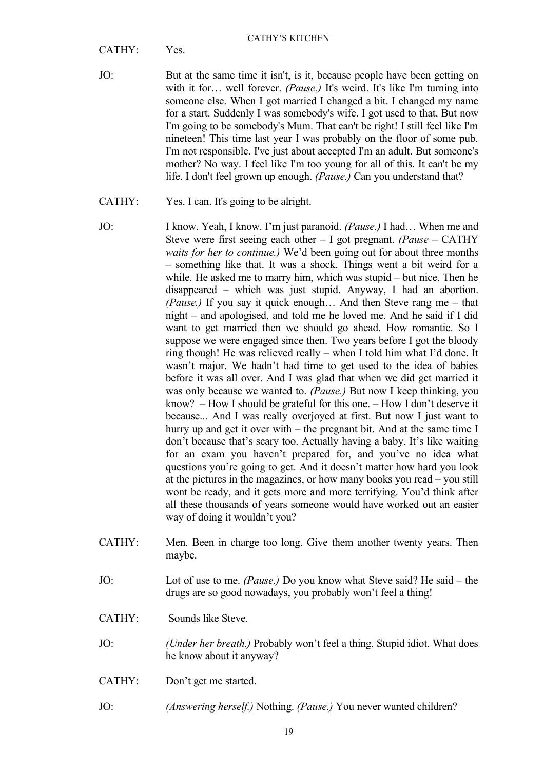CATHY: Yes.

- JO: But at the same time it isn't, is it, because people have been getting on with it for… well forever. *(Pause.)* It's weird. It's like I'm turning into someone else. When I got married I changed a bit. I changed my name for a start. Suddenly I was somebody's wife. I got used to that. But now I'm going to be somebody's Mum. That can't be right! I still feel like I'm nineteen! This time last year I was probably on the floor of some pub. I'm not responsible. I've just about accepted I'm an adult. But someone's mother? No way. I feel like I'm too young for all of this. It can't be my life. I don't feel grown up enough. *(Pause.)* Can you understand that?
- CATHY: Yes. I can. It's going to be alright.
- JO: I know. Yeah, I know. I'm just paranoid. *(Pause.)* I had… When me and Steve were first seeing each other – I got pregnant. *(Pause –* CATHY *waits for her to continue.)* We'd been going out for about three months – something like that. It was a shock. Things went a bit weird for a while. He asked me to marry him, which was stupid – but nice. Then he disappeared – which was just stupid. Anyway, I had an abortion. *(Pause.)* If you say it quick enough… And then Steve rang me – that night – and apologised, and told me he loved me. And he said if I did want to get married then we should go ahead. How romantic. So I suppose we were engaged since then. Two years before I got the bloody ring though! He was relieved really – when I told him what I'd done. It wasn't major. We hadn't had time to get used to the idea of babies before it was all over. And I was glad that when we did get married it was only because we wanted to. *(Pause.)* But now I keep thinking, you know? – How I should be grateful for this one. – How I don't deserve it because... And I was really overjoyed at first. But now I just want to hurry up and get it over with – the pregnant bit. And at the same time I don't because that's scary too. Actually having a baby. It's like waiting for an exam you haven't prepared for, and you've no idea what questions you're going to get. And it doesn't matter how hard you look at the pictures in the magazines, or how many books you read – you still wont be ready, and it gets more and more terrifying. You'd think after all these thousands of years someone would have worked out an easier way of doing it wouldn't you?
- CATHY: Men. Been in charge too long. Give them another twenty years. Then maybe.
- JO: Lot of use to me. *(Pause.)* Do you know what Steve said? He said the drugs are so good nowadays, you probably won't feel a thing!
- CATHY: Sounds like Steve.
- JO: *(Under her breath.)* Probably won't feel a thing. Stupid idiot. What does he know about it anyway?
- CATHY: Don't get me started.
- JO: *(Answering herself.)* Nothing. *(Pause.)* You never wanted children?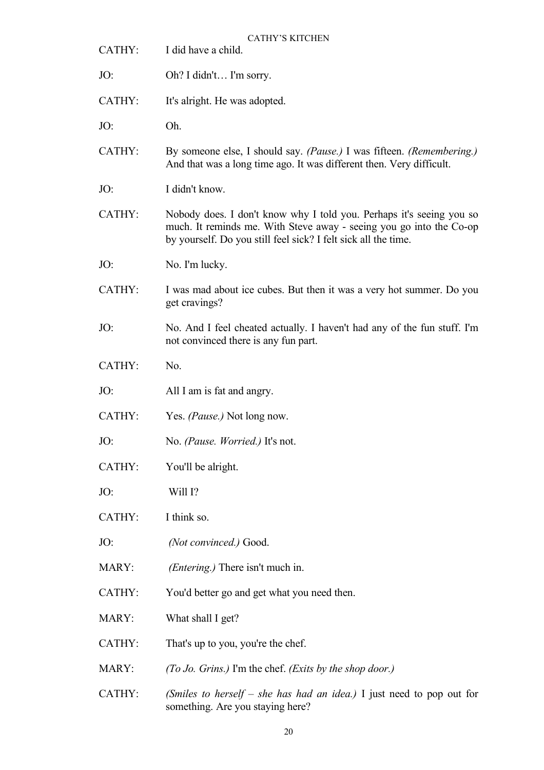CATHY'S KITCHEN CATHY: I did have a child. JO: Oh? I didn't… I'm sorry. CATHY: It's alright. He was adopted. JO: Oh. CATHY: By someone else, I should say. *(Pause.)* I was fifteen. *(Remembering.)* And that was a long time ago. It was different then. Very difficult. JO: I didn't know. CATHY: Nobody does. I don't know why I told you. Perhaps it's seeing you so much. It reminds me. With Steve away - seeing you go into the Co-op by yourself. Do you still feel sick? I felt sick all the time. JO: No. I'm lucky. CATHY: I was mad about ice cubes. But then it was a very hot summer. Do you get cravings? JO: No. And I feel cheated actually. I haven't had any of the fun stuff. I'm not convinced there is any fun part. CATHY: No. JO: All I am is fat and angry. CATHY: Yes. *(Pause.)* Not long now. JO: No. *(Pause. Worried.)* It's not. CATHY: You'll be alright. JO: Will I? CATHY: I think so. JO: *(Not convinced.)* Good. MARY: *(Entering.)* There isn't much in. CATHY: You'd better go and get what you need then. MARY: What shall I get? CATHY: That's up to you, you're the chef. MARY: *(To Jo. Grins.)* I'm the chef. *(Exits by the shop door.)* CATHY: *(Smiles to herself – she has had an idea.)* I just need to pop out for something. Are you staying here?